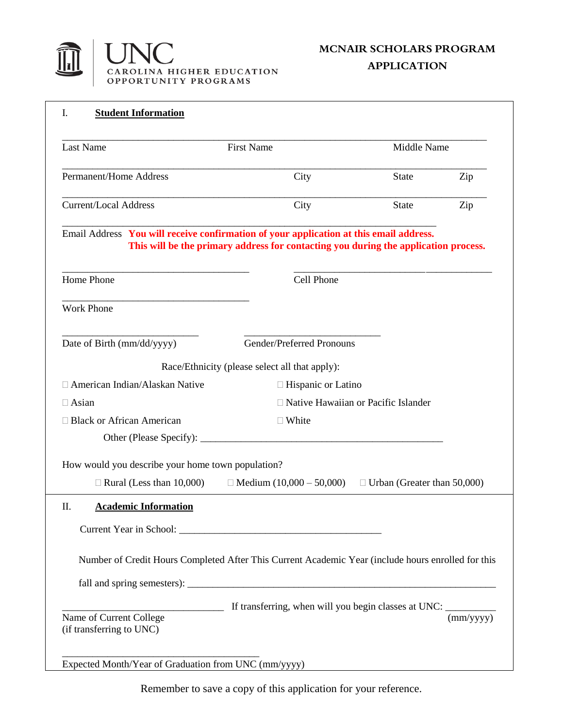

**APPLICATION**

| <b>Last Name</b>                                                                       | <b>First Name</b>                                                                                  | Middle Name                           |                            |
|----------------------------------------------------------------------------------------|----------------------------------------------------------------------------------------------------|---------------------------------------|----------------------------|
| <b>Permanent/Home Address</b>                                                          | City                                                                                               | <b>State</b>                          | Zip                        |
| <b>Current/Local Address</b>                                                           | City                                                                                               | <b>State</b>                          | Zip                        |
| Email Address You will receive confirmation of your application at this email address. | This will be the primary address for contacting you during the application process.                |                                       |                            |
| Home Phone                                                                             | Cell Phone                                                                                         |                                       |                            |
| <b>Work Phone</b>                                                                      |                                                                                                    |                                       |                            |
| Date of Birth (mm/dd/yyyy)                                                             | Gender/Preferred Pronouns                                                                          |                                       |                            |
|                                                                                        | Race/Ethnicity (please select all that apply):                                                     |                                       |                            |
| □ American Indian/Alaskan Native                                                       | $\Box$ Hispanic or Latino                                                                          |                                       |                            |
| $\Box$ Asian                                                                           |                                                                                                    | □ Native Hawaiian or Pacific Islander |                            |
| □ Black or African American                                                            | $\Box$ White                                                                                       |                                       |                            |
|                                                                                        |                                                                                                    |                                       |                            |
| How would you describe your home town population?                                      |                                                                                                    |                                       |                            |
| $\Box$ Rural (Less than 10,000)                                                        | $\Box$ Medium (10,000 – 50,000)                                                                    | $\Box$ Urban (Greater than 50,000)    |                            |
| <b>Academic Information</b><br>П.                                                      |                                                                                                    |                                       |                            |
|                                                                                        |                                                                                                    |                                       |                            |
|                                                                                        |                                                                                                    |                                       |                            |
|                                                                                        | Number of Credit Hours Completed After This Current Academic Year (include hours enrolled for this |                                       |                            |
|                                                                                        |                                                                                                    |                                       |                            |
| <u> 1990 - Johann Barbara</u>                                                          | If transferring, when will you begin classes at UNC: ____________________________                  |                                       |                            |
| Name of Current College                                                                |                                                                                                    |                                       | $\overline{\text{mm/yyy}}$ |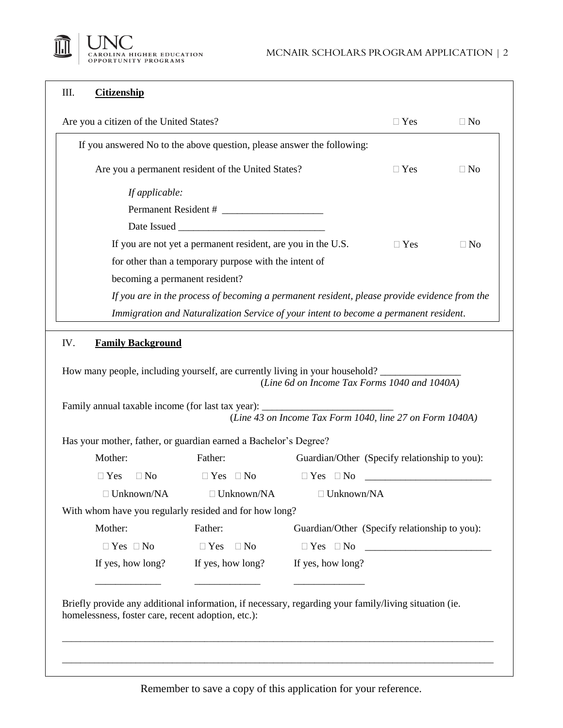

## III. **Citizenship**

| Are you a citizen of the United States?                                                                                                                                                                                                                                                               |                                                                                              |                                                          | $\Box$ Yes                                                                                                           | $\Box$ No |
|-------------------------------------------------------------------------------------------------------------------------------------------------------------------------------------------------------------------------------------------------------------------------------------------------------|----------------------------------------------------------------------------------------------|----------------------------------------------------------|----------------------------------------------------------------------------------------------------------------------|-----------|
|                                                                                                                                                                                                                                                                                                       | If you answered No to the above question, please answer the following:                       |                                                          |                                                                                                                      |           |
|                                                                                                                                                                                                                                                                                                       | Are you a permanent resident of the United States?                                           |                                                          | $\Box$ Yes                                                                                                           | $\Box$ No |
| If applicable:                                                                                                                                                                                                                                                                                        |                                                                                              |                                                          |                                                                                                                      |           |
|                                                                                                                                                                                                                                                                                                       |                                                                                              |                                                          |                                                                                                                      |           |
|                                                                                                                                                                                                                                                                                                       |                                                                                              |                                                          |                                                                                                                      |           |
|                                                                                                                                                                                                                                                                                                       | If you are not yet a permanent resident, are you in the U.S.                                 |                                                          | $\Box$ Yes                                                                                                           | $\Box$ No |
|                                                                                                                                                                                                                                                                                                       | for other than a temporary purpose with the intent of                                        |                                                          |                                                                                                                      |           |
| becoming a permanent resident?                                                                                                                                                                                                                                                                        |                                                                                              |                                                          |                                                                                                                      |           |
|                                                                                                                                                                                                                                                                                                       | If you are in the process of becoming a permanent resident, please provide evidence from the |                                                          |                                                                                                                      |           |
|                                                                                                                                                                                                                                                                                                       |                                                                                              |                                                          |                                                                                                                      |           |
| <b>Family Background</b>                                                                                                                                                                                                                                                                              | Immigration and Naturalization Service of your intent to become a permanent resident.        |                                                          |                                                                                                                      |           |
|                                                                                                                                                                                                                                                                                                       |                                                                                              | (Line 6d on Income Tax Forms 1040 and 1040A)             |                                                                                                                      |           |
|                                                                                                                                                                                                                                                                                                       |                                                                                              | (Line 43 on Income Tax Form 1040, line 27 on Form 1040A) |                                                                                                                      |           |
|                                                                                                                                                                                                                                                                                                       |                                                                                              |                                                          |                                                                                                                      |           |
| Mother:                                                                                                                                                                                                                                                                                               | Father:                                                                                      | Guardian/Other (Specify relationship to you):            |                                                                                                                      |           |
| $\square$ No<br>$\Box$ Yes                                                                                                                                                                                                                                                                            | $\Box$ Yes $\Box$ No                                                                         | $\Box$ Yes $\Box$ No                                     | <u> 1989 - Johann Barn, mars ar breithinn ar breithinn ar breithinn ar breithinn ar breithinn ar breithinn ar br</u> |           |
| $\Box$ Unknown/NA                                                                                                                                                                                                                                                                                     | $\Box$ Unknown/NA                                                                            | $\Box$ Unknown/NA                                        |                                                                                                                      |           |
| IV.<br>How many people, including yourself, are currently living in your household?<br>Family annual taxable income (for last tax year): ______________________________<br>Has your mother, father, or guardian earned a Bachelor's Degree?<br>With whom have you regularly resided and for how long? |                                                                                              |                                                          |                                                                                                                      |           |
| Mother:                                                                                                                                                                                                                                                                                               | Father:                                                                                      | Guardian/Other (Specify relationship to you):            |                                                                                                                      |           |
| $\Box$ Yes $\Box$ No                                                                                                                                                                                                                                                                                  | $\Box$ Yes<br>$\Box$ No                                                                      |                                                          |                                                                                                                      |           |

Briefly provide any additional information, if necessary, regarding your family/living situation (ie. homelessness, foster care, recent adoption, etc.):

\_\_\_\_\_\_\_\_\_\_\_\_\_\_\_\_\_\_\_\_\_\_\_\_\_\_\_\_\_\_\_\_\_\_\_\_\_\_\_\_\_\_\_\_\_\_\_\_\_\_\_\_\_\_\_\_\_\_\_\_\_\_\_\_\_\_\_\_\_\_\_\_\_\_\_\_\_\_\_\_\_\_\_\_\_\_\_\_\_\_\_\_\_\_

\_\_\_\_\_\_\_\_\_\_\_\_\_\_\_\_\_\_\_\_\_\_\_\_\_\_\_\_\_\_\_\_\_\_\_\_\_\_\_\_\_\_\_\_\_\_\_\_\_\_\_\_\_\_\_\_\_\_\_\_\_\_\_\_\_\_\_\_\_\_\_\_\_\_\_\_\_\_\_\_\_\_\_\_\_\_\_\_\_\_\_\_\_\_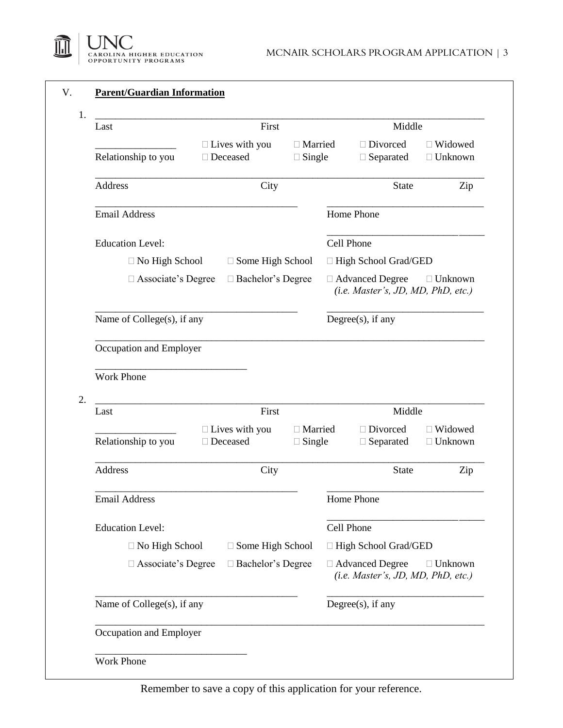

| Last                                                                                                           | First                                    |                            |  | Middle                                                  |                                                      |  |
|----------------------------------------------------------------------------------------------------------------|------------------------------------------|----------------------------|--|---------------------------------------------------------|------------------------------------------------------|--|
| Relationship to you                                                                                            | $\Box$ Lives with you<br>□ Deceased      | □ Married<br>$\Box$ Single |  | □ Divorced<br>$\Box$ Separated                          | □ Widowed<br>$\Box$ Unknown                          |  |
| Address                                                                                                        | City                                     |                            |  | <b>State</b>                                            | Zip                                                  |  |
| <b>Email Address</b>                                                                                           |                                          |                            |  | Home Phone                                              |                                                      |  |
| <b>Education Level:</b>                                                                                        |                                          |                            |  | Cell Phone                                              |                                                      |  |
| $\Box$ No High School                                                                                          | □ Some High School                       |                            |  | □ High School Grad/GED                                  |                                                      |  |
| $\Box$ Associate's Degree                                                                                      | □ Bachelor's Degree                      |                            |  | □ Advanced Degree<br>(i.e. Master's, JD, MD, PhD, etc.) | $\Box$ Unknown                                       |  |
| Name of College(s), if any                                                                                     |                                          |                            |  | Degree $(s)$ , if any                                   |                                                      |  |
| Occupation and Employer                                                                                        |                                          |                            |  |                                                         |                                                      |  |
|                                                                                                                |                                          |                            |  |                                                         |                                                      |  |
|                                                                                                                |                                          |                            |  |                                                         |                                                      |  |
|                                                                                                                |                                          |                            |  |                                                         |                                                      |  |
|                                                                                                                | First                                    |                            |  | Middle                                                  |                                                      |  |
|                                                                                                                | $\Box$ Lives with you<br>$\Box$ Deceased | □ Married<br>$\Box$ Single |  | □ Divorced<br>$\Box$ Separated                          |                                                      |  |
|                                                                                                                | City                                     |                            |  | <b>State</b>                                            |                                                      |  |
|                                                                                                                |                                          |                            |  | Home Phone                                              |                                                      |  |
| <b>Work Phone</b><br>Last<br>Relationship to you<br>Address<br><b>Email Address</b><br><b>Education Level:</b> |                                          |                            |  | Cell Phone                                              |                                                      |  |
| $\Box$ No High School                                                                                          | □ Some High School                       |                            |  | □ High School Grad/GED                                  |                                                      |  |
| $\Box$ Associate's Degree                                                                                      | □ Bachelor's Degree                      |                            |  | □ Advanced Degree<br>(i.e. Master's, JD, MD, PhD, etc.) |                                                      |  |
| Name of College(s), if any                                                                                     |                                          |                            |  | Degree $(s)$ , if any                                   | □ Widowed<br>$\Box$ Unknown<br>Zip<br>$\Box$ Unknown |  |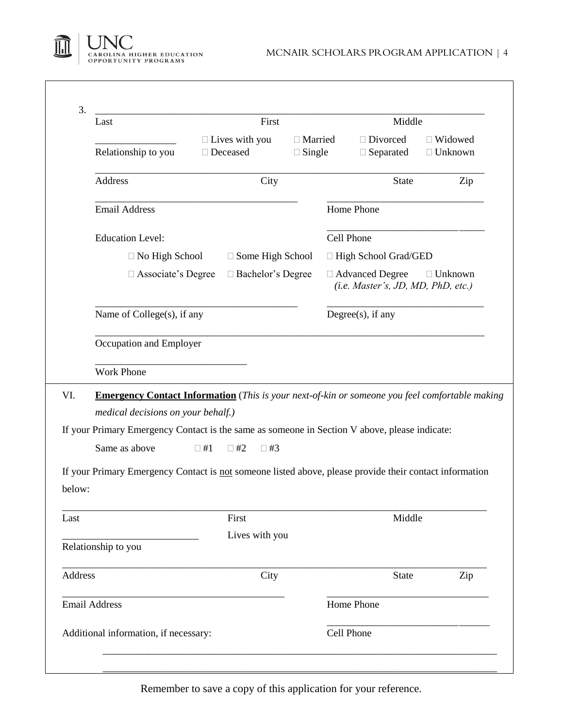

| Last                                                                                                              |           | First                                                                          |  | Middle                                                  |                                  |  |
|-------------------------------------------------------------------------------------------------------------------|-----------|--------------------------------------------------------------------------------|--|---------------------------------------------------------|----------------------------------|--|
| Relationship to you<br>Address                                                                                    |           | $\Box$ Lives with you<br>$\Box$ Married<br>□ Deceased<br>$\Box$ Single<br>City |  | $\Box$ Divorced<br>$\Box$ Separated                     | $\Box$ Widowed<br>$\Box$ Unknown |  |
|                                                                                                                   |           |                                                                                |  | <b>State</b>                                            | Zip                              |  |
| <b>Email Address</b>                                                                                              |           |                                                                                |  | Home Phone                                              |                                  |  |
| <b>Education Level:</b>                                                                                           |           |                                                                                |  | Cell Phone                                              |                                  |  |
| $\Box$ No High School                                                                                             |           | $\Box$ Some High School                                                        |  | □ High School Grad/GED                                  |                                  |  |
| $\Box$ Associate's Degree                                                                                         |           | □ Bachelor's Degree                                                            |  | □ Advanced Degree<br>(i.e. Master's, JD, MD, PhD, etc.) | $\Box$ Unknown                   |  |
| Name of College(s), if any                                                                                        |           |                                                                                |  | Degree $(s)$ , if any                                   |                                  |  |
| Occupation and Employer                                                                                           |           |                                                                                |  |                                                         |                                  |  |
|                                                                                                                   |           |                                                                                |  |                                                         |                                  |  |
| <b>Work Phone</b>                                                                                                 |           |                                                                                |  |                                                         |                                  |  |
| <b>Emergency Contact Information</b> (This is your next-of-kin or someone you feel comfortable making             |           |                                                                                |  |                                                         |                                  |  |
| medical decisions on your behalf.)                                                                                |           |                                                                                |  |                                                         |                                  |  |
| If your Primary Emergency Contact is the same as someone in Section V above, please indicate:                     |           |                                                                                |  |                                                         |                                  |  |
| Same as above                                                                                                     | $\Box$ #1 | $\Box$ #2<br>$\Box$ #3                                                         |  |                                                         |                                  |  |
|                                                                                                                   |           |                                                                                |  |                                                         |                                  |  |
| If your Primary Emergency Contact is not someone listed above, please provide their contact information<br>below: |           |                                                                                |  |                                                         |                                  |  |
|                                                                                                                   |           | First                                                                          |  | Middle                                                  |                                  |  |
|                                                                                                                   |           | Lives with you                                                                 |  |                                                         |                                  |  |
| Relationship to you                                                                                               |           |                                                                                |  |                                                         |                                  |  |
| Address                                                                                                           |           | City                                                                           |  | State                                                   | Zip                              |  |
| <b>Email Address</b>                                                                                              |           |                                                                                |  | Home Phone                                              |                                  |  |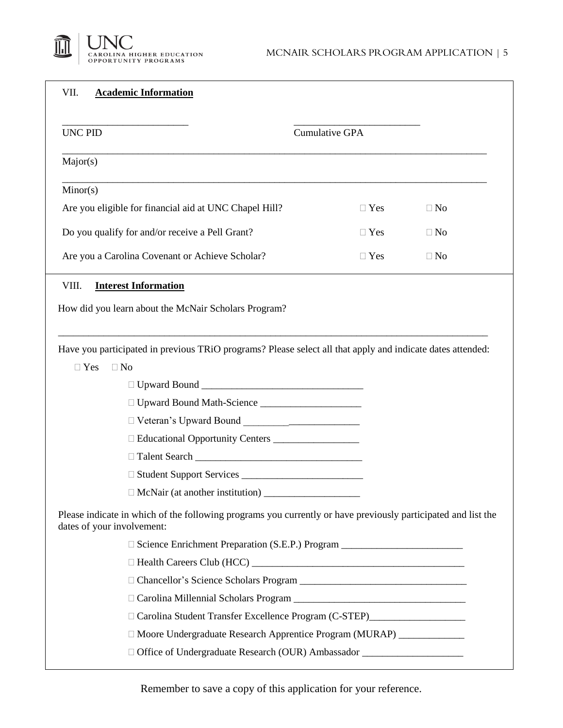

| VII.<br><b>Academic Information</b>                                                                                                         |                                                                                  |
|---------------------------------------------------------------------------------------------------------------------------------------------|----------------------------------------------------------------------------------|
| <b>UNC PID</b>                                                                                                                              | <b>Cumulative GPA</b>                                                            |
| Major(s)                                                                                                                                    |                                                                                  |
| Minor(s)                                                                                                                                    |                                                                                  |
| Are you eligible for financial aid at UNC Chapel Hill?                                                                                      | $\Box$ Yes<br>$\Box$ No                                                          |
| Do you qualify for and/or receive a Pell Grant?                                                                                             | $\Box$ Yes<br>$\Box$ No                                                          |
| Are you a Carolina Covenant or Achieve Scholar?                                                                                             | $\Box$ Yes<br>$\Box$ No                                                          |
| VIII.<br><b>Interest Information</b>                                                                                                        |                                                                                  |
| How did you learn about the McNair Scholars Program?                                                                                        |                                                                                  |
|                                                                                                                                             |                                                                                  |
| Have you participated in previous TRiO programs? Please select all that apply and indicate dates attended:                                  |                                                                                  |
| $\Box$ Yes<br>$\Box$ No                                                                                                                     |                                                                                  |
|                                                                                                                                             |                                                                                  |
|                                                                                                                                             |                                                                                  |
| □ Veteran's Upward Bound<br>□ Veteran's Upward Bound                                                                                        |                                                                                  |
|                                                                                                                                             |                                                                                  |
|                                                                                                                                             |                                                                                  |
|                                                                                                                                             |                                                                                  |
|                                                                                                                                             |                                                                                  |
| Please indicate in which of the following programs you currently or have previously participated and list the<br>dates of your involvement: |                                                                                  |
|                                                                                                                                             | □ Science Enrichment Preparation (S.E.P.) Program ______________________________ |
|                                                                                                                                             |                                                                                  |
|                                                                                                                                             |                                                                                  |
|                                                                                                                                             |                                                                                  |
|                                                                                                                                             | Carolina Student Transfer Excellence Program (C-STEP)                            |
|                                                                                                                                             | □ Moore Undergraduate Research Apprentice Program (MURAP) ______________         |
|                                                                                                                                             | □ Office of Undergraduate Research (OUR) Ambassador ____________________________ |
|                                                                                                                                             |                                                                                  |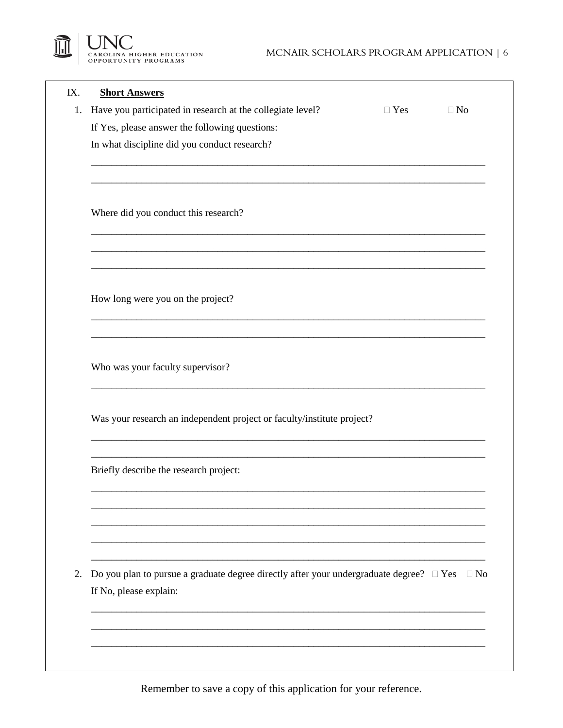

| IX. | <b>Short Answers</b>                                                                                                                |            |           |  |  |  |  |
|-----|-------------------------------------------------------------------------------------------------------------------------------------|------------|-----------|--|--|--|--|
| 1.  | Have you participated in research at the collegiate level?                                                                          | $\Box$ Yes | $\Box$ No |  |  |  |  |
|     | If Yes, please answer the following questions:                                                                                      |            |           |  |  |  |  |
|     | In what discipline did you conduct research?                                                                                        |            |           |  |  |  |  |
|     |                                                                                                                                     |            |           |  |  |  |  |
|     | Where did you conduct this research?                                                                                                |            |           |  |  |  |  |
|     |                                                                                                                                     |            |           |  |  |  |  |
|     | How long were you on the project?                                                                                                   |            |           |  |  |  |  |
|     | Who was your faculty supervisor?                                                                                                    |            |           |  |  |  |  |
|     | Was your research an independent project or faculty/institute project?                                                              |            |           |  |  |  |  |
|     | Briefly describe the research project:                                                                                              |            |           |  |  |  |  |
|     |                                                                                                                                     |            |           |  |  |  |  |
|     |                                                                                                                                     |            |           |  |  |  |  |
| 2.  | Do you plan to pursue a graduate degree directly after your undergraduate degree? $\Box$ Yes<br>$\Box$ No<br>If No, please explain: |            |           |  |  |  |  |
|     |                                                                                                                                     |            |           |  |  |  |  |
|     |                                                                                                                                     |            |           |  |  |  |  |